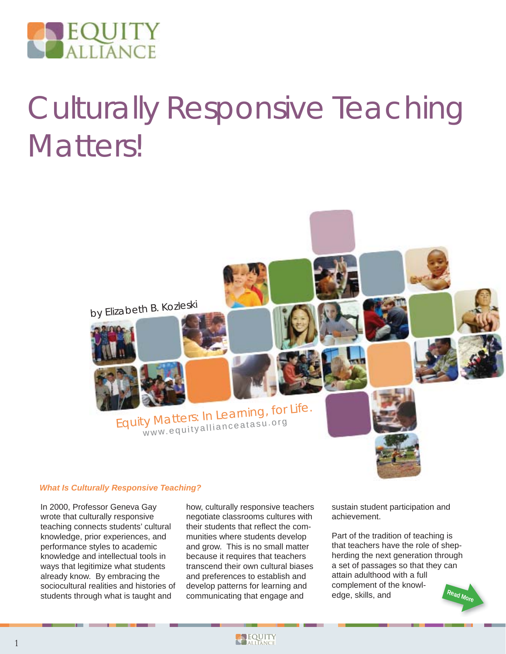

# Culturally Responsive Teaching Matters!



# *What Is Culturally Responsive Teaching?*

In 2000, Professor Geneva Gay wrote that culturally responsive teaching connects students' cultural knowledge, prior experiences, and performance styles to academic knowledge and intellectual tools in ways that legitimize what students already know. By embracing the sociocultural realities and histories of students through what is taught and

how, culturally responsive teachers negotiate classrooms cultures with their students that reflect the communities where students develop and grow. This is no small matter because it requires that teachers transcend their own cultural biases and preferences to establish and develop patterns for learning and communicating that engage and

sustain student participation and achievement.

Part of the tradition of teaching is that teachers have the role of shepherding the next generation through a set of passages so that they can attain adulthood with a full complement of the knowledge, skills, and



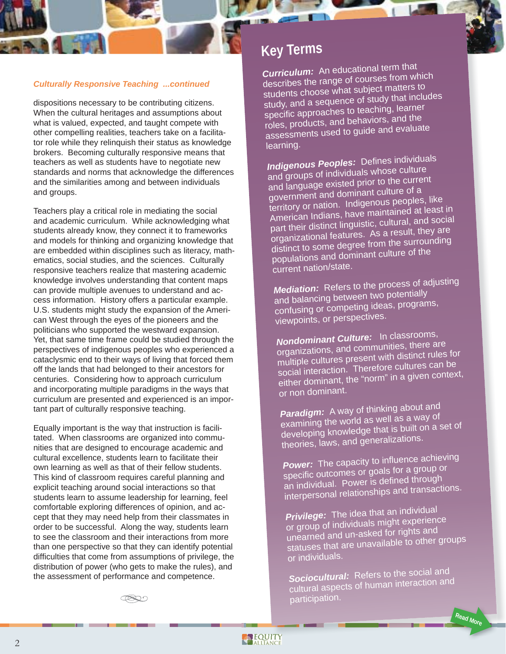# *Culturally Responsive Teaching ...continued*

**String** 

dispositions necessary to be contributing citizens. When the cultural heritages and assumptions about what is valued, expected, and taught compete with other compelling realities, teachers take on a facilitator role while they relinquish their status as knowledge brokers. Becoming culturally responsive means that teachers as well as students have to negotiate new standards and norms that acknowledge the differences and the similarities among and between individuals and groups.

Teachers play a critical role in mediating the social and academic curriculum. While acknowledging what students already know, they connect it to frameworks and models for thinking and organizing knowledge that are embedded within disciplines such as literacy, mathematics, social studies, and the sciences. Culturally responsive teachers realize that mastering academic knowledge involves understanding that content maps can provide multiple avenues to understand and access information. History offers a particular example. U.S. students might study the expansion of the American West through the eyes of the pioneers and the politicians who supported the westward expansion. Yet, that same time frame could be studied through the perspectives of indigenous peoples who experienced a cataclysmic end to their ways of living that forced them off the lands that had belonged to their ancestors for centuries. Considering how to approach curriculum and incorporating multiple paradigms in the ways that curriculum are presented and experienced is an important part of culturally responsive teaching.

Equally important is the way that instruction is facilitated. When classrooms are organized into communities that are designed to encourage academic and cultural excellence, students learn to facilitate their own learning as well as that of their fellow students. This kind of classroom requires careful planning and explicit teaching around social interactions so that students learn to assume leadership for learning, feel comfortable exploring differences of opinion, and accept that they may need help from their classmates in order to be successful. Along the way, students learn to see the classroom and their interactions from more than one perspective so that they can identify potential difficulties that come from assumptions of privilege, the distribution of power (who gets to make the rules), and the assessment of performance and competence.

# **Key Terms**

*Curriculum:* An educational term that describes the range of courses from which students choose what subject matters to study, and a sequence of study that includes specific approaches to teaching, learner roles, products, and behaviors, and the assessments used to guide and evaluate learning.

**Indigenous Peoples:** Defines individuals and groups of individuals whose culture and language existed prior to the curren<sup>t</sup> government and dominant culture of a territory or nation. Indigenous peoples, like American Indians, have maintained at least in part their distinct linguistic, cultural, and social organizational features. As a result, they are distinct to some degree from the surrounding populations and dominant culture of the current nation/state.

*Mediation:* Refers to the process of adjusting and balancing between two potentially confusing or competing ideas, programs, viewpoints, or perspectives.

*Nondominant Culture:* In classrooms, organizations, and communities, there are multiple cultures present with distinct rules for social interaction. Therefore cultures can be either dominant, the "norm" in a given context, or non dominant.

*Paradigm:* A way of thinking about and examining the world as well as a way o<sup>f</sup> developing knowledge that is built on a set of theories, laws, and generalizations.

**Power:** The capacity to influence achieving specific outcomes or goals for a group or an individual. Power is defined through interpersonal relationships and transactions.

**Privilege:** The idea that an individual or group of individuals might experience unearned and un-asked for rights an<sup>d</sup> statuses that are unavailable to other groups or individuals.

*Sociocultural:* Refers to the social and cultural aspects of human interaction an<sup>d</sup> participation.

**Read More**



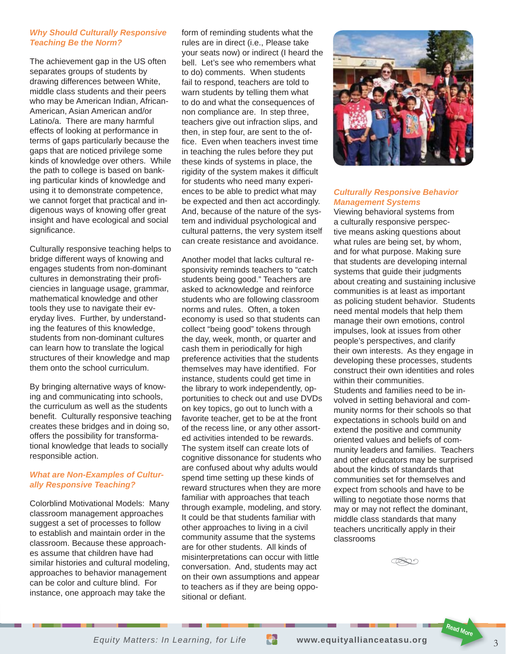# *Why Should Culturally Responsive Teaching Be the Norm?*

The achievement gap in the US often separates groups of students by drawing differences between White, middle class students and their peers who may be American Indian, African-American, Asian American and/or Latino/a. There are many harmful effects of looking at performance in terms of gaps particularly because the gaps that are noticed privilege some kinds of knowledge over others. While the path to college is based on banking particular kinds of knowledge and using it to demonstrate competence, we cannot forget that practical and indigenous ways of knowing offer great insight and have ecological and social significance.

Culturally responsive teaching helps to bridge different ways of knowing and engages students from non-dominant cultures in demonstrating their proficiencies in language usage, grammar, mathematical knowledge and other tools they use to navigate their everyday lives. Further, by understanding the features of this knowledge, students from non-dominant cultures can learn how to translate the logical structures of their knowledge and map them onto the school curriculum.

By bringing alternative ways of knowing and communicating into schools, the curriculum as well as the students benefit. Culturally responsive teaching creates these bridges and in doing so, offers the possibility for transformational knowledge that leads to socially responsible action.

# *What are Non-Examples of Culturally Responsive Teaching?*

Colorblind Motivational Models: Many classroom management approaches suggest a set of processes to follow to establish and maintain order in the classroom. Because these approaches assume that children have had similar histories and cultural modeling, approaches to behavior management can be color and culture blind. For instance, one approach may take the

form of reminding students what the rules are in direct (i.e., Please take your seats now) or indirect (I heard the bell. Let's see who remembers what to do) comments. When students fail to respond, teachers are told to warn students by telling them what to do and what the consequences of non compliance are. In step three, teachers give out infraction slips, and then, in step four, are sent to the office. Even when teachers invest time in teaching the rules before they put these kinds of systems in place, the rigidity of the system makes it difficult for students who need many experiences to be able to predict what may be expected and then act accordingly. And, because of the nature of the system and individual psychological and cultural patterns, the very system itself can create resistance and avoidance.

Another model that lacks cultural responsivity reminds teachers to "catch students being good." Teachers are asked to acknowledge and reinforce students who are following classroom norms and rules. Often, a token economy is used so that students can collect "being good" tokens through the day, week, month, or quarter and cash them in periodically for high preference activities that the students themselves may have identified. For instance, students could get time in the library to work independently, opportunities to check out and use DVDs on key topics, go out to lunch with a favorite teacher, get to be at the front of the recess line, or any other assorted activities intended to be rewards. The system itself can create lots of cognitive dissonance for students who are confused about why adults would spend time setting up these kinds of reward structures when they are more familiar with approaches that teach through example, modeling, and story. It could be that students familiar with other approaches to living in a civil community assume that the systems are for other students. All kinds of misinterpretations can occur with little conversation. And, students may act on their own assumptions and appear to teachers as if they are being oppositional or defiant.



# *Culturally Responsive Behavior Management Systems*

Viewing behavioral systems from a culturally responsive perspective means asking questions about what rules are being set, by whom, and for what purpose. Making sure that students are developing internal systems that guide their judgments about creating and sustaining inclusive communities is at least as important as policing student behavior. Students need mental models that help them manage their own emotions, control impulses, look at issues from other people's perspectives, and clarify their own interests. As they engage in developing these processes, students construct their own identities and roles within their communities. Students and families need to be involved in setting behavioral and community norms for their schools so that expectations in schools build on and extend the positive and community oriented values and beliefs of community leaders and families. Teachers and other educators may be surprised

about the kinds of standards that communities set for themselves and expect from schools and have to be willing to negotiate those norms that may or may not reflect the dominant, middle class standards that many teachers uncritically apply in their classrooms

**Read More**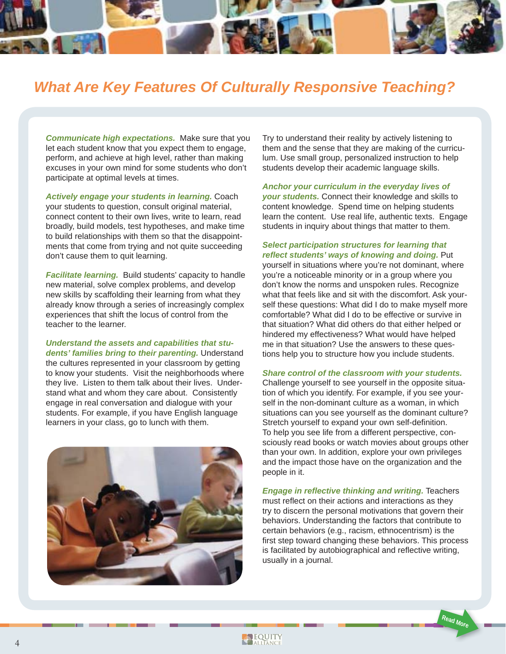

# *What Are Key Features Of Culturally Responsive Teaching?*

*Communicate high expectations.* Make sure that you let each student know that you expect them to engage, perform, and achieve at high level, rather than making excuses in your own mind for some students who don't participate at optimal levels at times.

*Actively engage your students in learning.* Coach your students to question, consult original material, connect content to their own lives, write to learn, read broadly, build models, test hypotheses, and make time to build relationships with them so that the disappointments that come from trying and not quite succeeding don't cause them to quit learning.

*Facilitate learning.* Build students' capacity to handle new material, solve complex problems, and develop new skills by scaffolding their learning from what they already know through a series of increasingly complex experiences that shift the locus of control from the teacher to the learner.

*Understand the assets and capabilities that students' families bring to their parenting.* Understand the cultures represented in your classroom by getting to know your students. Visit the neighborhoods where they live. Listen to them talk about their lives. Understand what and whom they care about. Consistently engage in real conversation and dialogue with your students. For example, if you have English language learners in your class, go to lunch with them.



Try to understand their reality by actively listening to them and the sense that they are making of the curriculum. Use small group, personalized instruction to help students develop their academic language skills.

*Anchor your curriculum in the everyday lives of your students.* Connect their knowledge and skills to content knowledge. Spend time on helping students learn the content. Use real life, authentic texts. Engage students in inquiry about things that matter to them.

## *Select participation structures for learning that refl ect students' ways of knowing and doing.* Put

yourself in situations where you're not dominant, where you're a noticeable minority or in a group where you don't know the norms and unspoken rules. Recognize what that feels like and sit with the discomfort. Ask yourself these questions: What did I do to make myself more comfortable? What did I do to be effective or survive in that situation? What did others do that either helped or hindered my effectiveness? What would have helped me in that situation? Use the answers to these questions help you to structure how you include students.

#### *Share control of the classroom with your students.*

Challenge yourself to see yourself in the opposite situation of which you identify. For example, if you see yourself in the non-dominant culture as a woman, in which situations can you see yourself as the dominant culture? Stretch yourself to expand your own self-definition. To help you see life from a different perspective, consciously read books or watch movies about groups other than your own. In addition, explore your own privileges and the impact those have on the organization and the people in it.

*Engage in reflective thinking and writing.* Teachers must reflect on their actions and interactions as they try to discern the personal motivations that govern their behaviors. Understanding the factors that contribute to certain behaviors (e.g., racism, ethnocentrism) is the first step toward changing these behaviors. This process is facilitated by autobiographical and reflective writing, usually in a journal.



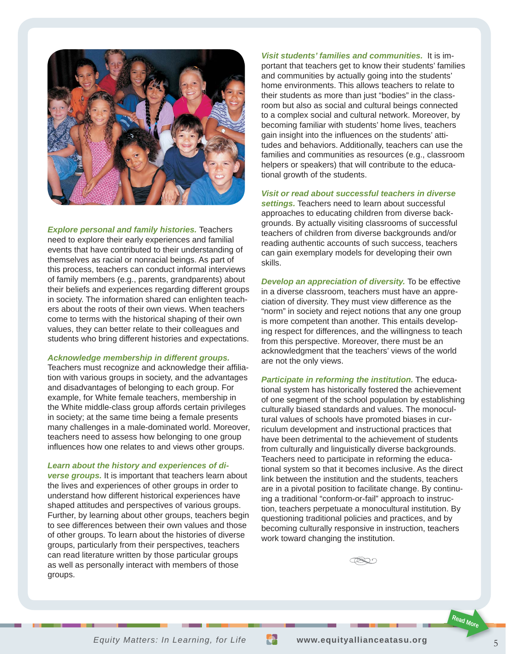

*Explore personal and family histories.* Teachers need to explore their early experiences and familial events that have contributed to their understanding of themselves as racial or nonracial beings. As part of this process, teachers can conduct informal interviews of family members (e.g., parents, grandparents) about their beliefs and experiences regarding different groups in society. The information shared can enlighten teachers about the roots of their own views. When teachers come to terms with the historical shaping of their own values, they can better relate to their colleagues and students who bring different histories and expectations.

#### *Acknowledge membership in different groups.*

Teachers must recognize and acknowledge their affiliation with various groups in society, and the advantages and disadvantages of belonging to each group. For example, for White female teachers, membership in the White middle-class group affords certain privileges in society; at the same time being a female presents many challenges in a male-dominated world. Moreover, teachers need to assess how belonging to one group influences how one relates to and views other groups.

#### *Learn about the history and experiences of di-*

*verse groups.* It is important that teachers learn about the lives and experiences of other groups in order to understand how different historical experiences have shaped attitudes and perspectives of various groups. Further, by learning about other groups, teachers begin to see differences between their own values and those of other groups. To learn about the histories of diverse groups, particularly from their perspectives, teachers can read literature written by those particular groups as well as personally interact with members of those groups.

*Visit students' families and communities.* It is important that teachers get to know their students' families and communities by actually going into the students' home environments. This allows teachers to relate to their students as more than just "bodies" in the classroom but also as social and cultural beings connected to a complex social and cultural network. Moreover, by becoming familiar with students' home lives, teachers gain insight into the influences on the students' attitudes and behaviors. Additionally, teachers can use the families and communities as resources (e.g., classroom helpers or speakers) that will contribute to the educational growth of the students.

# *Visit or read about successful teachers in diverse*

*settings.* Teachers need to learn about successful approaches to educating children from diverse backgrounds. By actually visiting classrooms of successful teachers of children from diverse backgrounds and/or reading authentic accounts of such success, teachers can gain exemplary models for developing their own skills.

*Develop an appreciation of diversity.* To be effective in a diverse classroom, teachers must have an appreciation of diversity. They must view difference as the "norm" in society and reject notions that any one group is more competent than another. This entails developing respect for differences, and the willingness to teach from this perspective. Moreover, there must be an acknowledgment that the teachers' views of the world are not the only views.

*Participate in reforming the institution.* The educational system has historically fostered the achievement of one segment of the school population by establishing culturally biased standards and values. The monocultural values of schools have promoted biases in curriculum development and instructional practices that have been detrimental to the achievement of students from culturally and linguistically diverse backgrounds. Teachers need to participate in reforming the educational system so that it becomes inclusive. As the direct link between the institution and the students, teachers are in a pivotal position to facilitate change. By continuing a traditional "conform-or-fail" approach to instruction, teachers perpetuate a monocultural institution. By questioning traditional policies and practices, and by becoming culturally responsive in instruction, teachers work toward changing the institution.

**Read More**